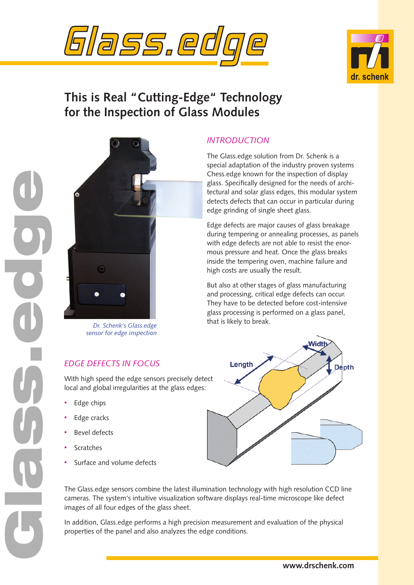



# **This is Real "Cutting-Edge" Technology for the Inspection of Glass Modules**



*sensor for edge inspection*

## *EDGE DEFECTS IN FOCUS*

With high speed the edge sensors precisely detect local and global irregularities at the glass edges:

Edge chips •

Glass.edge

- Edge cracks •
- Bevel defects •
- Scratches •
- Surface and volume defects •

## *INTRODUCTION*

The Glass.edge solution from Dr. Schenk is a special adaptation of the industry proven systems Chess.edge known for the inspection of display glass. Specifically designed for the needs of architectural and solar glass edges, this modular system detects defects that can occur in particular during edge grinding of single sheet glass.

Edge defects are major causes of glass breakage during tempering or annealing processes, as panels with edge defects are not able to resist the enormous pressure and heat. Once the glass breaks inside the tempering oven, machine failure and high costs are usually the result.

But also at other stages of glass manufacturing and processing, critical edge defects can occur. They have to be detected before cost-intensive glass processing is performed on a glass panel, that is likely to break. *Dr. Schenk's Glass.edge* 



The Glass.edge sensors combine the latest illumination technology with high resolution CCD line cameras. The system's intuitive visualization software displays real-time microscope like defect images of all four edges of the glass sheet.

In addition, Glass.edge performs a high precision measurement and evaluation of the physical properties of the panel and also analyzes the edge conditions.